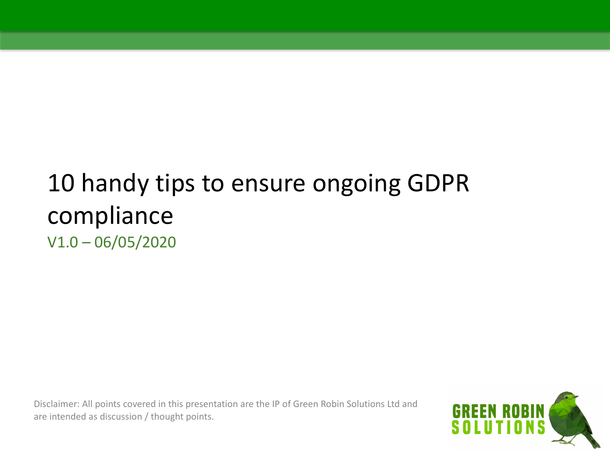### 10 handy tips to ensure ongoing GDPR compliance V1.0 – 06/05/2020

Disclaimer: All points covered in this presentation are the IP of Green Robin Solutions Ltd and are intended as discussion / thought points.

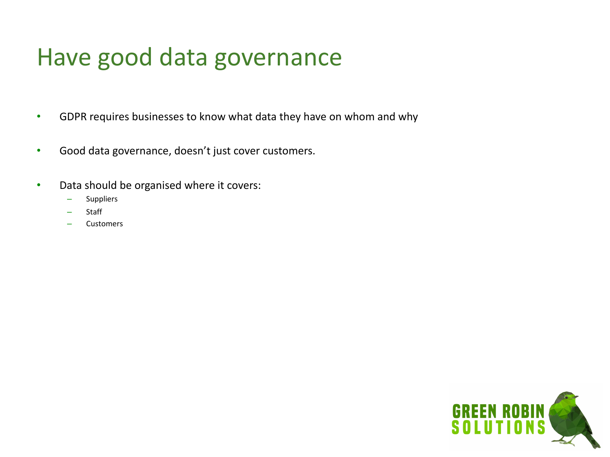#### Have good data governance

- GDPR requires businesses to know what data they have on whom and why
- Good data governance, doesn't just cover customers.
- Data should be organised where it covers:
	- **Suppliers**
	- Staff
	- Customers

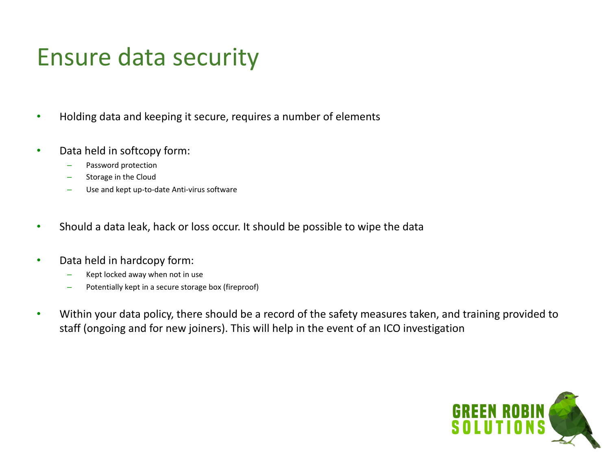#### Ensure data security

- Holding data and keeping it secure, requires a number of elements
- Data held in softcopy form:
	- Password protection
	- Storage in the Cloud
	- Use and kept up-to-date Anti-virus software
- Should a data leak, hack or loss occur. It should be possible to wipe the data
- Data held in hardcopy form:
	- Kept locked away when not in use
	- Potentially kept in a secure storage box (fireproof)
- Within your data policy, there should be a record of the safety measures taken, and training provided to staff (ongoing and for new joiners). This will help in the event of an ICO investigation

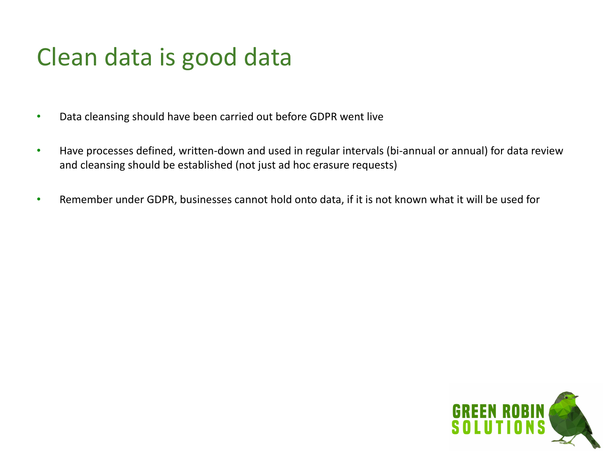# Clean data is good data

- Data cleansing should have been carried out before GDPR went live
- Have processes defined, written-down and used in regular intervals (bi-annual or annual) for data review and cleansing should be established (not just ad hoc erasure requests)
- Remember under GDPR, businesses cannot hold onto data, if it is not known what it will be used for

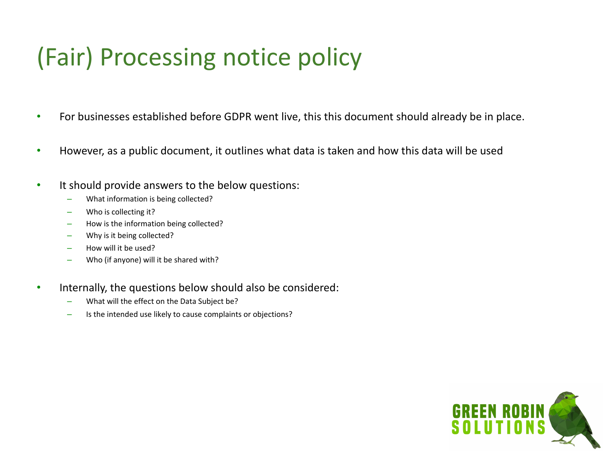# (Fair) Processing notice policy

- For businesses established before GDPR went live, this this document should already be in place.
- However, as a public document, it outlines what data is taken and how this data will be used
- It should provide answers to the below questions:
	- What information is being collected?
	- Who is collecting it?
	- How is the information being collected?
	- Why is it being collected?
	- How will it be used?
	- Who (if anyone) will it be shared with?
- Internally, the questions below should also be considered:
	- What will the effect on the Data Subject be?
	- Is the intended use likely to cause complaints or objections?

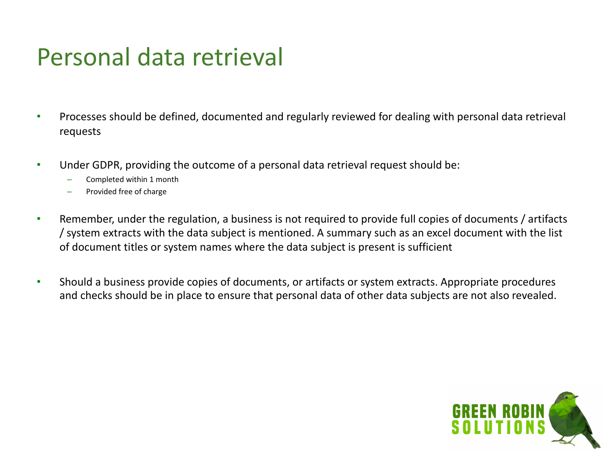#### Personal data retrieval

- Processes should be defined, documented and regularly reviewed for dealing with personal data retrieval requests
- Under GDPR, providing the outcome of a personal data retrieval request should be:
	- Completed within 1 month
	- Provided free of charge
- Remember, under the regulation, a business is not required to provide full copies of documents / artifacts / system extracts with the data subject is mentioned. A summary such as an excel document with the list of document titles or system names where the data subject is present is sufficient
- Should a business provide copies of documents, or artifacts or system extracts. Appropriate procedures and checks should be in place to ensure that personal data of other data subjects are not also revealed.

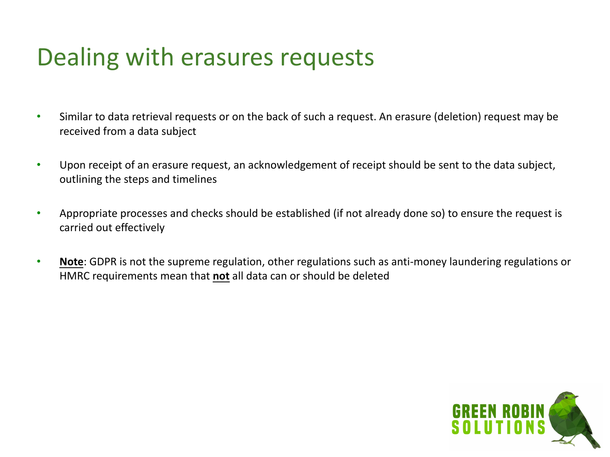### Dealing with erasures requests

- Similar to data retrieval requests or on the back of such a request. An erasure (deletion) request may be received from a data subject
- Upon receipt of an erasure request, an acknowledgement of receipt should be sent to the data subject, outlining the steps and timelines
- Appropriate processes and checks should be established (if not already done so) to ensure the request is carried out effectively
- **Note**: GDPR is not the supreme regulation, other regulations such as anti-money laundering regulations or HMRC requirements mean that **not** all data can or should be deleted

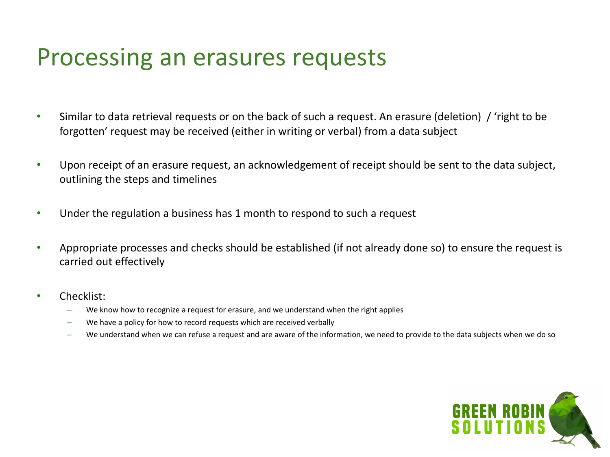#### Processing an erasures requests

- Similar to data retrieval requests or on the back of such a request. An erasure (deletion) / 'right to be forgotten' request may be received (either in writing or verbal) from a data subject
- Upon receipt of an erasure request, an acknowledgement of receipt should be sent to the data subject, outlining the steps and timelines
- Under the regulation a business has 1 month to respond to such a request
- Appropriate processes and checks should be established (if not already done so) to ensure the request is carried out effectively
- Checklist:
	- We know how to recognize a request for erasure, and we understand when the right applies
	- We have a policy for how to record requests which are received verbally
	- We understand when we can refuse a request and are aware of the information, we need to provide to the data subjects when we do so

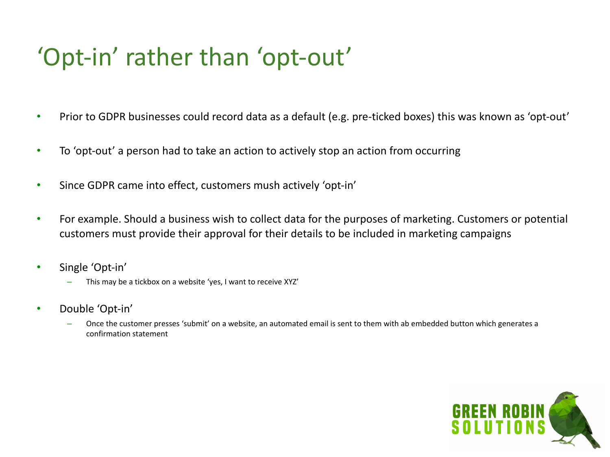# 'Opt-in' rather than 'opt-out'

- Prior to GDPR businesses could record data as a default (e.g. pre-ticked boxes) this was known as 'opt-out'
- To 'opt-out' a person had to take an action to actively stop an action from occurring
- Since GDPR came into effect, customers mush actively 'opt-in'
- For example. Should a business wish to collect data for the purposes of marketing. Customers or potential customers must provide their approval for their details to be included in marketing campaigns
- Single 'Opt-in'
	- This may be a tickbox on a website 'yes, I want to receive XYZ'
- Double 'Opt-in'
	- Once the customer presses 'submit' on a website, an automated email is sent to them with ab embedded button which generates a confirmation statement

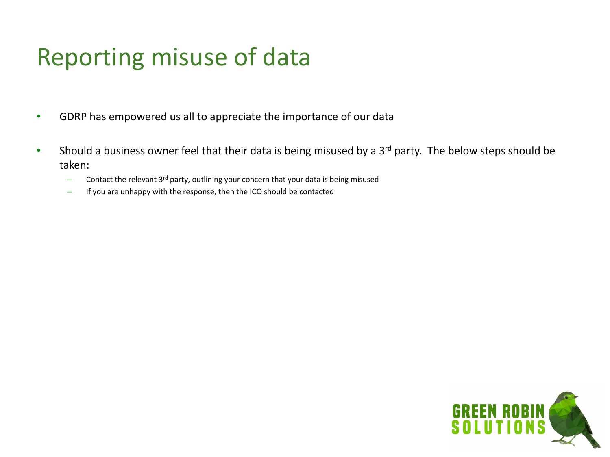# Reporting misuse of data

- GDRP has empowered us all to appreciate the importance of our data
- Should a business owner feel that their data is being misused by a 3<sup>rd</sup> party. The below steps should be taken:
	- $-$  Contact the relevant 3<sup>rd</sup> party, outlining your concern that your data is being misused
	- If you are unhappy with the response, then the ICO should be contacted

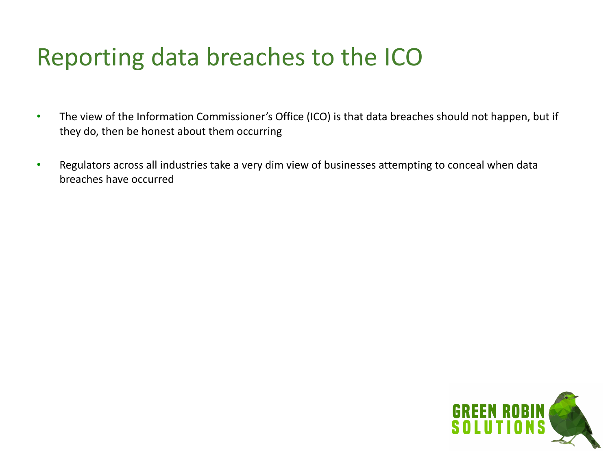# Reporting data breaches to the ICO

- The view of the Information Commissioner's Office (ICO) is that data breaches should not happen, but if they do, then be honest about them occurring
- Regulators across all industries take a very dim view of businesses attempting to conceal when data breaches have occurred